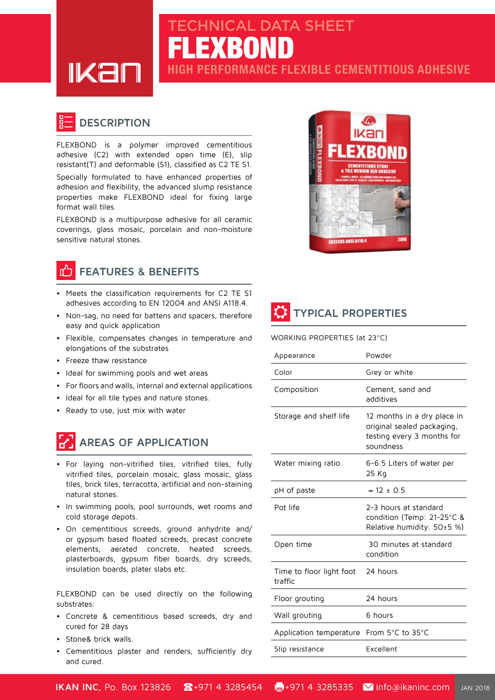FLEXBOND CHNICAL DATA SHEET

**PERFORMANCE FLEXIBLE CEMENTITIOUS ADHESIVE** 



### **DESCRIPTION**

FLEXBOND is a polymer improved cementitious adhesive (C2) with extended open time  $(E)$ , slip  $resistant(T)$  and deformable (S1), classified as C2 TE S1.

Specially formulated to have enhanced properties of adhesion and flexibility, the advanced slump resistance properties make FLEXBOND ideal for fixing large format wall tiles.

FLEXBOND is a multipurpose adhesive for all ceramic coverings, glass mosaic, porcelain and non-moisture sensitive natural stones.

# **FEATURES & BENEFITS**

- Meets the classification requirements for C2 TE S1 adhesives according to EN 12004 and ANSI A118.4.
- Non-sag, no need for battens and spacers, therefore easy and quick application
- Flexible, compensates changes in temperature and elongations of the substrates
- Freeze thaw resistance
- Ideal for swimming pools and wet areas
- For floors and walls, internal and external applications
- Ideal for all tile types and nature stones.
- Ready to use, just mix with water

# **AREAS OF APPLICATION**

- For laying non-vitrified tiles, vitrified tiles, fully vitrified tiles, porcelain mosaic, glass mosaic, glass tiles, brick tiles, terracotta, artificial and non-staining natural stones.
- In swimming pools, pool surrounds, wet rooms and cold storage depots.
- On cementitious screeds, ground anhydrite and/ or gypsum based floated screeds, precast concrete elements, aerated concrete, heated screeds, plasterboards, gypsum fiber boards, dry screeds, insulation boards, plater slabs etc.

FLEXBOND can be used directly on the following :substrates

- Concrete & cementitious based screeds, dry and cured for 28 days
- Stone& brick walls.
- Cementitious plaster and renders, sufficiently dry and cured.





#### WORKING PROPERTIES (at 23°C)

| Appearance                          | Powder                                                                                               |  |
|-------------------------------------|------------------------------------------------------------------------------------------------------|--|
| Color                               | Grey or white                                                                                        |  |
| Composition                         | Cement, sand and<br>additives                                                                        |  |
| Storage and shelf life              | 12 months in a dry place in<br>original sealed packaging,<br>testing every 3 months for<br>soundness |  |
| Water mixing ratio                  | 6-6.5 Liters of water per<br>25 Kg                                                                   |  |
| pH of paste                         | $\approx$ 12 ± 0.5                                                                                   |  |
| Pot life                            | 2-3 hours at standard<br>condition (Temp: 21-25°C &<br>Relative humidity: 50±5 %)                    |  |
| Open time                           | 30 minutes at standard<br>condition                                                                  |  |
| Time to floor light foot<br>traffic | 24 hours                                                                                             |  |
| Floor grouting                      | 24 hours                                                                                             |  |
| Wall grouting                       | 6 hours                                                                                              |  |
| Application temperature             | From 5°C to 35°C                                                                                     |  |
| Slip resistance                     | Excellent                                                                                            |  |

**IKAN INC**, Po. Box 123826 **2** +971 4 3285454 **4** +971 4 3285335 **V** info@ikaninc.com JAN 2018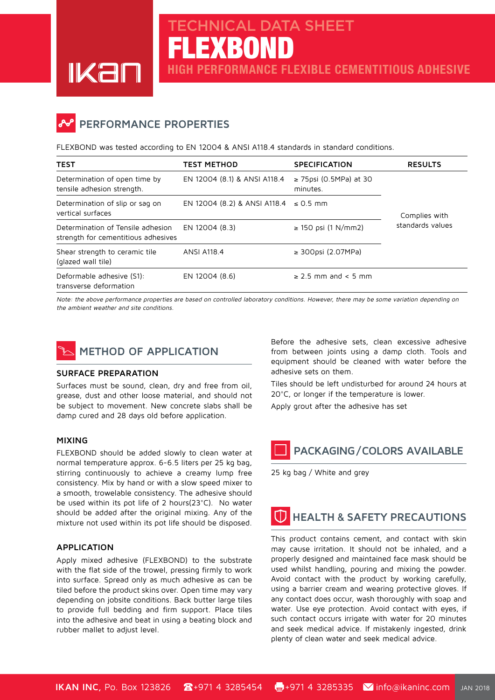### **PERFORMANCE PROPERTIES**

FLEXBOND was tested according to EN 12004 & ANSI A118.4 standards in standard conditions.

FLEXBOND

**CHNICAL DATA SHEET** 

**PERFORMANCE FLEXIBLE CEMENTITIOUS ADHESIVE** 

| <b>TEST</b>                                                              | <b>TEST METHOD</b>                         | <b>SPECIFICATION</b>                    | <b>RESULTS</b>                    |
|--------------------------------------------------------------------------|--------------------------------------------|-----------------------------------------|-----------------------------------|
| Determination of open time by<br>tensile adhesion strength.              | EN 12004 (8.1) & ANSI A118.4               | $\geq$ 75psi (0.5MPa) at 30<br>minutes. | Complies with<br>standards values |
| Determination of slip or sag on<br>vertical surfaces                     | EN 12004 (8.2) & ANSI A118.4 $\leq$ 0.5 mm |                                         |                                   |
| Determination of Tensile adhesion<br>strength for cementitious adhesives | EN 12004 (8.3)                             | ≥ 150 psi (1 N/mm2)                     |                                   |
| Shear strength to ceramic tile<br>(glazed wall tile)                     | <b>ANSI A118.4</b>                         | $\geq$ 300psi (2.07MPa)                 |                                   |
| Deformable adhesive (S1):<br>transverse deformation                      | EN 12004 (8.6)                             | $\geq$ 2.5 mm and < 5 mm                |                                   |

Note: the above performance properties are based on controlled laboratory conditions. However, there may be some variation depending on the ambient weather and site conditions.



#### **SURFACE PREPARATION**

Surfaces must be sound, clean, dry and free from oil, grease, dust and other loose material, and should not be subject to movement. New concrete slabs shall be damp cured and 28 days old before application.

#### **MIXING**

FLEXBOND should be added slowly to clean water at normal temperature approx. 6-6.5 liters per 25 kg bag, stirring continuously to achieve a creamy lump free consistency. Mix by hand or with a slow speed mixer to a smooth, trowelable consistency. The adhesive should be used within its pot life of 2 hours  $(23^{\circ}C)$ . No water should be added after the original mixing. Any of the mixture not used within its pot life should be disposed.

### **APPLICATION**

Apply mixed adhesive (FLEXBOND) to the substrate with the flat side of the trowel, pressing firmly to work into surface. Spread only as much adhesive as can be tiled before the product skins over. Open time may vary depending on jobsite conditions. Back butter large tiles to provide full bedding and firm support. Place tiles into the adhesive and beat in using a beating block and rubber mallet to adjust level.

Before the adhesive sets, clean excessive adhesive from between joints using a damp cloth. Tools and equipment should be cleaned with water before the adhesive sets on them

Tiles should be left undisturbed for around 24 hours at 20°C, or longer if the temperature is lower.

Apply grout after the adhesive has set

## **PACKAGING/COLORS AVAILABLE**

25 kg bag / White and grey

# **HEALTH & SAFETY PRECAUTIONS**

This product contains cement, and contact with skin may cause irritation. It should not be inhaled, and a properly designed and maintained face mask should be used whilst handling, pouring and mixing the powder. Avoid contact with the product by working carefully, using a barrier cream and wearing protective gloves. If any contact does occur, wash thoroughly with soap and water. Use eye protection. Avoid contact with eyes, if such contact occurs irrigate with water for 20 minutes and seek medical advice. If mistakenly ingested, drink plenty of clean water and seek medical advice.